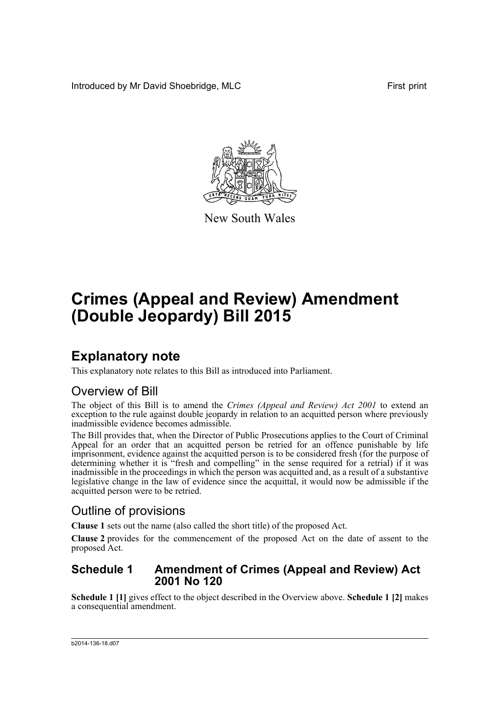Introduced by Mr David Shoebridge, MLC First print



New South Wales

# **Crimes (Appeal and Review) Amendment (Double Jeopardy) Bill 2015**

### **Explanatory note**

This explanatory note relates to this Bill as introduced into Parliament.

### Overview of Bill

The object of this Bill is to amend the *Crimes (Appeal and Review) Act 2001* to extend an exception to the rule against double jeopardy in relation to an acquitted person where previously inadmissible evidence becomes admissible.

The Bill provides that, when the Director of Public Prosecutions applies to the Court of Criminal Appeal for an order that an acquitted person be retried for an offence punishable by life imprisonment, evidence against the acquitted person is to be considered fresh (for the purpose of determining whether it is "fresh and compelling" in the sense required for a retrial) if it was inadmissible in the proceedings in which the person was acquitted and, as a result of a substantive legislative change in the law of evidence since the acquittal, it would now be admissible if the acquitted person were to be retried.

### Outline of provisions

**Clause 1** sets out the name (also called the short title) of the proposed Act.

**Clause 2** provides for the commencement of the proposed Act on the date of assent to the proposed Act.

#### **Schedule 1 Amendment of Crimes (Appeal and Review) Act 2001 No 120**

**Schedule 1 [1]** gives effect to the object described in the Overview above. **Schedule 1 [2]** makes a consequential amendment.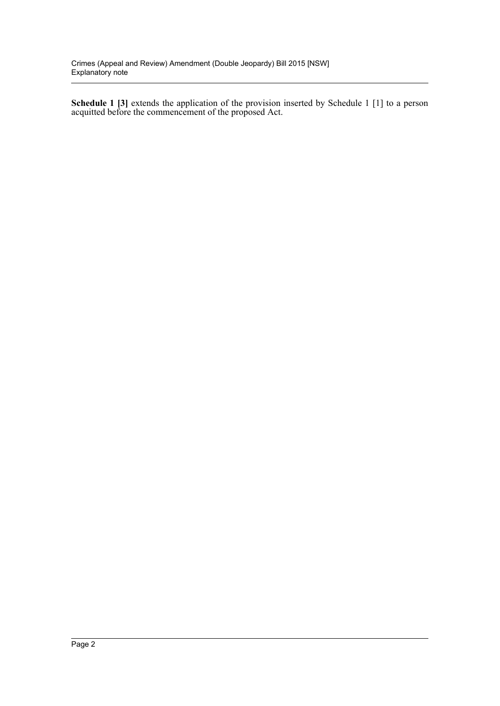**Schedule 1 [3]** extends the application of the provision inserted by Schedule 1 [1] to a person acquitted before the commencement of the proposed Act.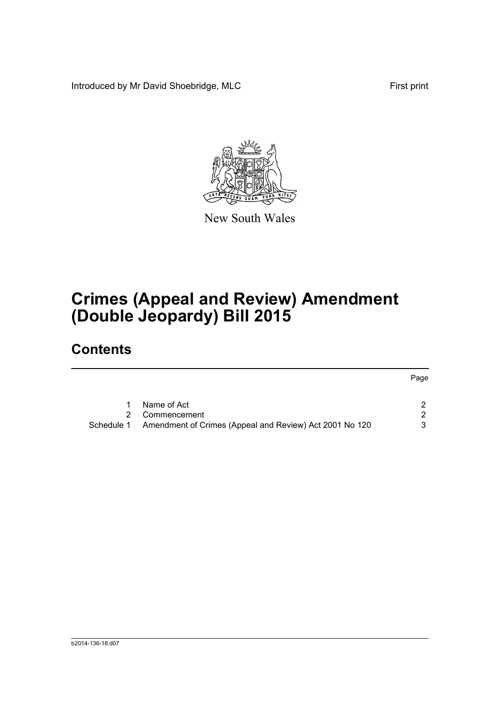Introduced by Mr David Shoebridge, MLC First print



New South Wales

# **Crimes (Appeal and Review) Amendment (Double Jeopardy) Bill 2015**

## **Contents**

|            | Name of Act                                             |   |  |
|------------|---------------------------------------------------------|---|--|
|            | Commencement                                            | 2 |  |
| Schedule 1 | Amendment of Crimes (Appeal and Review) Act 2001 No 120 | 3 |  |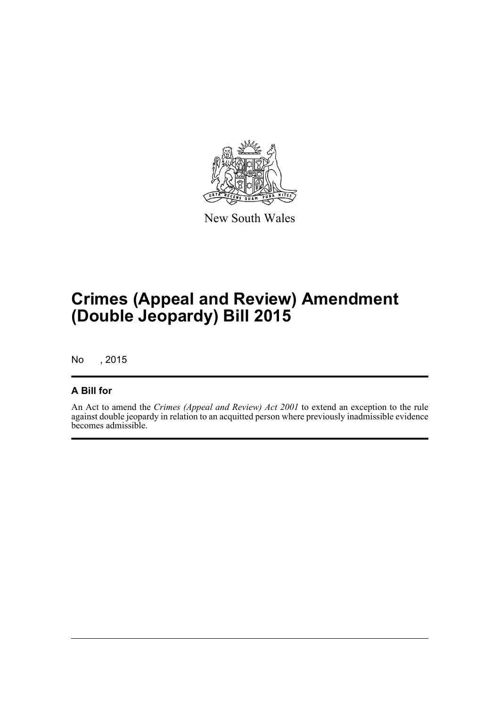

New South Wales

## **Crimes (Appeal and Review) Amendment (Double Jeopardy) Bill 2015**

No , 2015

#### **A Bill for**

An Act to amend the *Crimes (Appeal and Review) Act 2001* to extend an exception to the rule against double jeopardy in relation to an acquitted person where previously inadmissible evidence becomes admissible.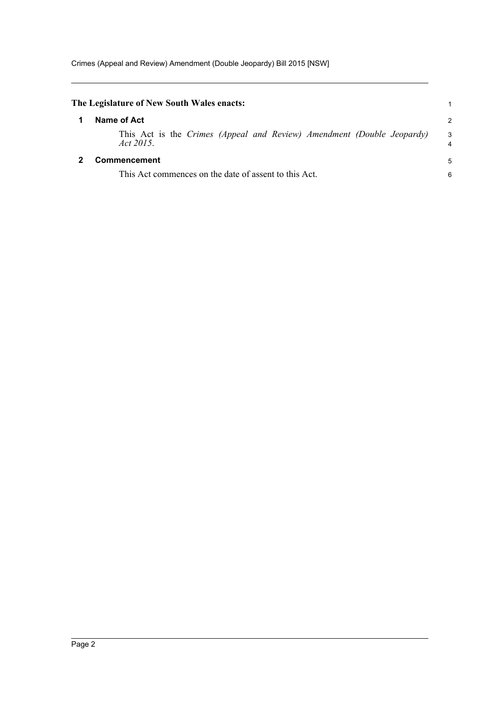<span id="page-4-1"></span><span id="page-4-0"></span>

| The Legislature of New South Wales enacts:                                          |                   |  |
|-------------------------------------------------------------------------------------|-------------------|--|
| Name of Act                                                                         | $\mathcal{P}$     |  |
| This Act is the Crimes (Appeal and Review) Amendment (Double Jeopardy)<br>Act 2015. | $\mathbf{3}$<br>4 |  |
| Commencement                                                                        | 5                 |  |
| This Act commences on the date of assent to this Act.                               |                   |  |
|                                                                                     |                   |  |